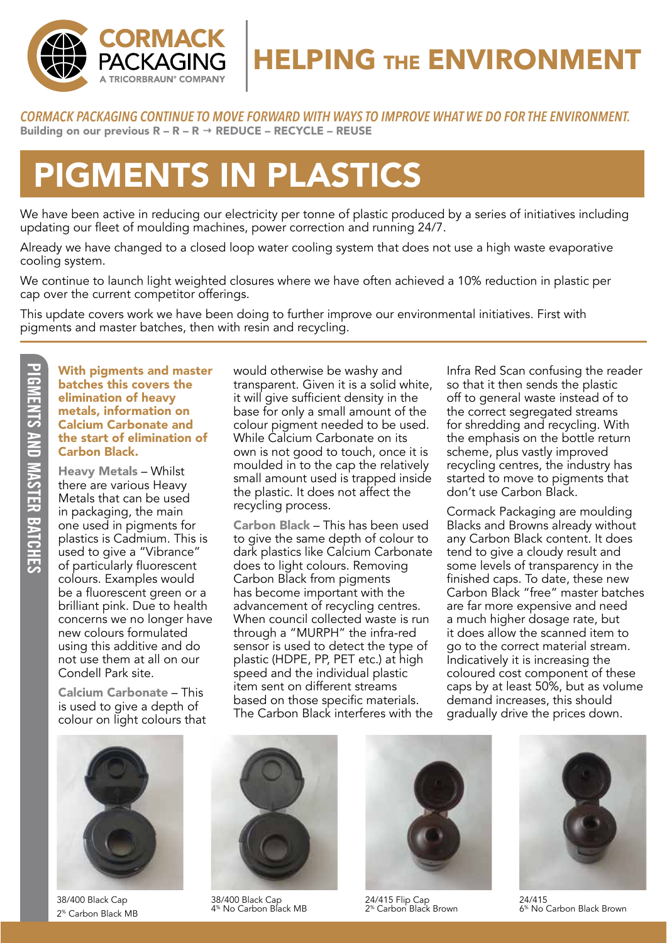

### **HELPING THE ENVIRONMENT**

*CORMACK PACKAGING CONTINUE TO MOVE FORWARD WITH WAYS TO IMPROVE WHAT WE DO FOR THE ENVIRONMENT.* Building on our previous  $R - R - R \rightarrow$  REDUCE – RECYCLE – REUSE

# PIGMENTS IN PLASTICS

We have been active in reducing our electricity per tonne of plastic produced by a series of initiatives including updating our fleet of moulding machines, power correction and running 24/7.

Already we have changed to a closed loop water cooling system that does not use a high waste evaporative cooling system.

We continue to launch light weighted closures where we have often achieved a 10% reduction in plastic per cap over the current competitor offerings.

This update covers work we have been doing to further improve our environmental initiatives. First with pigments and master batches, then with resin and recycling.

**PIGNENTS AND MASTER BATCHES** PIGMENTS AND MASTER BATCHES

With pigments and master batches this covers the elimination of heavy metals, information on Calcium Carbonate and the start of elimination of Carbon Black.

Heavy Metals – Whilst there are various Heavy Metals that can be used in packaging, the main one used in pigments for plastics is Cadmium. This is used to give a "Vibrance" of particularly fluorescent colours. Examples would be a fluorescent green or a brilliant pink. Due to health concerns we no longer have new colours formulated using this additive and do not use them at all on our Condell Park site.

Calcium Carbonate – This is used to give a depth of colour on light colours that



38/400 Black Cap 2% Carbon Black MB

would otherwise be washy and transparent. Given it is a solid white, it will give sufficient density in the base for only a small amount of the colour pigment needed to be used. While Calcium Carbonate on its own is not good to touch, once it is moulded in to the cap the relatively small amount used is trapped inside the plastic. It does not affect the recycling process.

Carbon Black – This has been used to give the same depth of colour to dark plastics like Calcium Carbonate does to light colours. Removing Carbon Black from pigments has become important with the advancement of recycling centres. When council collected waste is run through a "MURPH" the infra-red sensor is used to detect the type of plastic (HDPE, PP, PET etc.) at high speed and the individual plastic item sent on different streams based on those specific materials. The Carbon Black interferes with the

Infra Red Scan confusing the reader so that it then sends the plastic off to general waste instead of to the correct segregated streams for shredding and recycling. With the emphasis on the bottle return scheme, plus vastly improved recycling centres, the industry has started to move to pigments that don't use Carbon Black.

Cormack Packaging are moulding Blacks and Browns already without any Carbon Black content. It does tend to give a cloudy result and some levels of transparency in the finished caps. To date, these new Carbon Black "free" master batches are far more expensive and need a much higher dosage rate, but it does allow the scanned item to go to the correct material stream. Indicatively it is increasing the coloured cost component of these caps by at least 50%, but as volume demand increases, this should gradually drive the prices down.



38/400 Black Cap 4% No Carbon Black MB 24/415 Flip Cap



24/415 Flip Cap<br>2<sup>%</sup> Carbon Black Brown



24/415 6% No Carbon Black Brown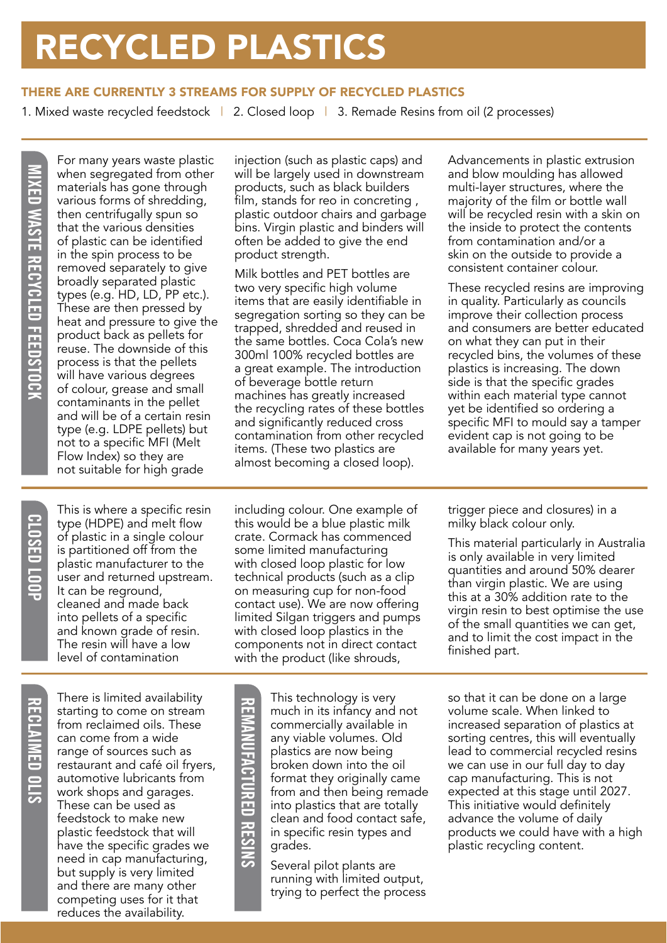## RECYCLED PLASTICS

#### THERE ARE CURRENTLY 3 STREAMS FOR SUPPLY OF RECYCLED PLASTICS

1. Mixed waste recycled feedstock | 2. Closed loop | 3. Remade Resins from oil (2 processes)

For many years waste plastic when segregated from other materials has gone through various forms of shredding, then centrifugally spun so that the various densities of plastic can be identified in the spin process to be removed separately to give broadly separated plastic types (e.g. HD, LD, PP etc.). These are then pressed by heat and pressure to give the product back as pellets for reuse. The downside of this process is that the pellets will have various degrees of colour, grease and small contaminants in the pellet and will be of a certain resin type (e.g. LDPE pellets) but not to a specific MFI (Melt Flow Index) so they are not suitable for high grade

injection (such as plastic caps) and will be largely used in downstream products, such as black builders film, stands for reo in concreting , plastic outdoor chairs and garbage bins. Virgin plastic and binders will often be added to give the end product strength.

Milk bottles and PET bottles are two very specific high volume items that are easily identifiable in segregation sorting so they can be trapped, shredded and reused in the same bottles. Coca Cola's new 300ml 100% recycled bottles are a great example. The introduction of beverage bottle return machines has greatly increased the recycling rates of these bottles and significantly reduced cross contamination from other recycled items. (These two plastics are almost becoming a closed loop).

Advancements in plastic extrusion and blow moulding has allowed multi-layer structures, where the majority of the film or bottle wall will be recycled resin with a skin on the inside to protect the contents from contamination and/or a skin on the outside to provide a consistent container colour.

These recycled resins are improving in quality. Particularly as councils improve their collection process and consumers are better educated on what they can put in their recycled bins, the volumes of these plastics is increasing. The down side is that the specific grades within each material type cannot yet be identified so ordering a specific MFI to mould say a tamper evident cap is not going to be available for many years yet.

This is where a specific resin type (HDPE) and melt flow of plastic in a single colour is partitioned off from the plastic manufacturer to the user and returned upstream. It can be reground, cleaned and made back into pellets of a specific and known grade of resin. The resin will have a low level of contamination

including colour. One example of this would be a blue plastic milk crate. Cormack has commenced some limited manufacturing with closed loop plastic for low technical products (such as a clip on measuring cup for non-food contact use). We are now offering limited Silgan triggers and pumps with closed loop plastics in the components not in direct contact with the product (like shrouds,

RECRIPTION STATISTICS SURFACT THEIRS INTERNATION STATISTICS CONTROLLED TO THE CALCULATED THE CONTROLLED TO THE CONTROLLED RESIDENCE ON THE CONTROLLED THE CONTROLLED THE CONTROLLED THE CONTROLLED THE CONTROLLED THE CONTROLL There is limited availability starting to come on stream from reclaimed oils. These can come from a wide range of sources such as restaurant and café oil fryers, automotive lubricants from work shops and garages. These can be used as feedstock to make new plastic feedstock that will have the specific grades we need in cap manufacturing, but supply is very limited and there are many other competing uses for it that reduces the availability.

This technology is very much in its infancy and not commercially available in any viable volumes. Old plastics are now being broken down into the oil format they originally came from and then being remade into plastics that are totally clean and food contact safe, in specific resin types and grades.

Several pilot plants are running with limited output, trying to perfect the process trigger piece and closures) in a milky black colour only.

This material particularly in Australia is only available in very limited quantities and around 50% dearer than virgin plastic. We are using this at a 30% addition rate to the virgin resin to best optimise the use of the small quantities we can get, and to limit the cost impact in the finished part.

so that it can be done on a large volume scale. When linked to increased separation of plastics at sorting centres, this will eventually lead to commercial recycled resins we can use in our full day to day cap manufacturing. This is not expected at this stage until 2027. This initiative would definitely advance the volume of daily products we could have with a high plastic recycling content.